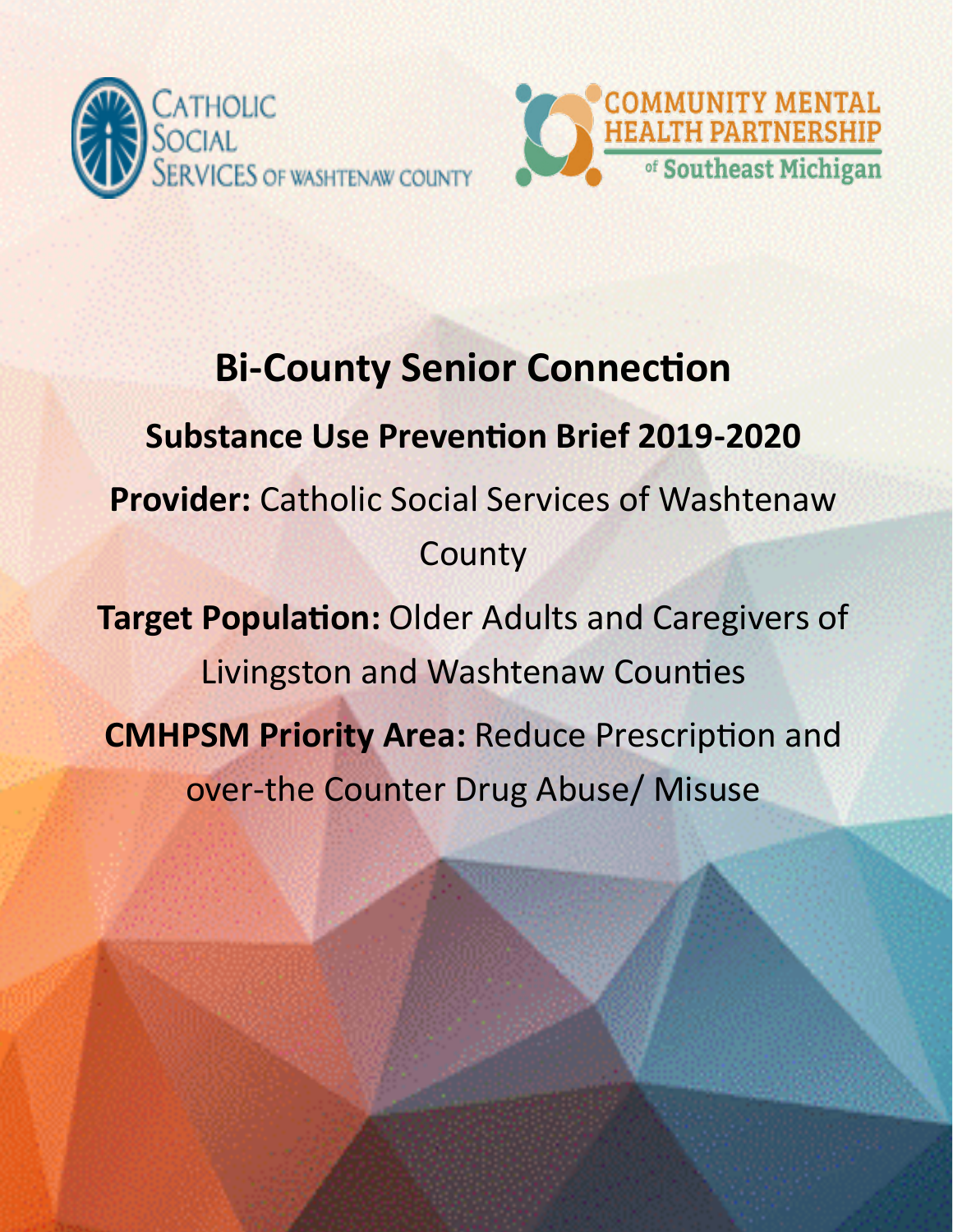



# **Bi-County Senior Connection Substance Use Prevention Brief 2019-2020 Provider:** Catholic Social Services of Washtenaw **County Target Population:** Older Adults and Caregivers of Livingston and Washtenaw Counties **CMHPSM Priority Area:** Reduce Prescription and over-the Counter Drug Abuse/ Misuse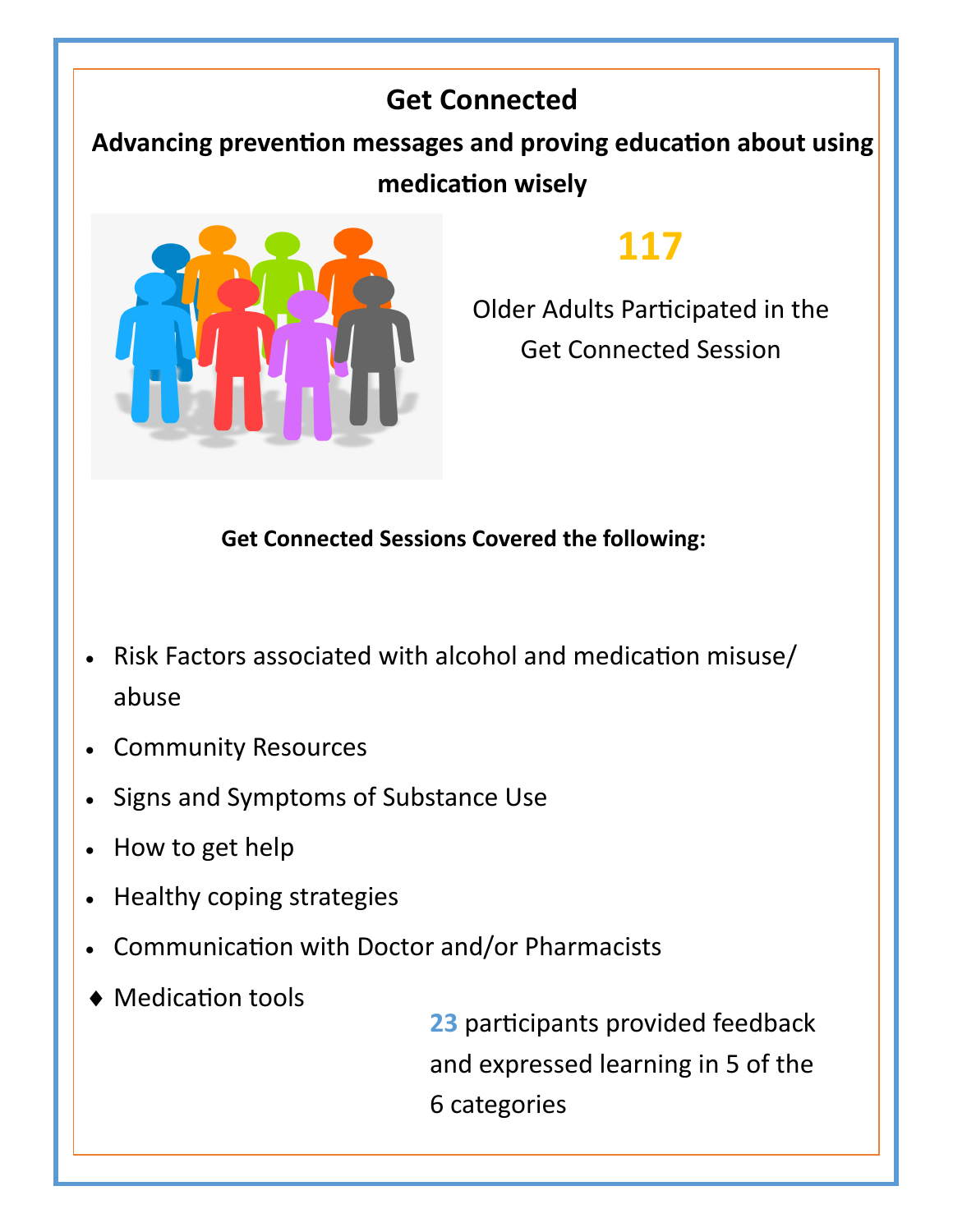### **Get Connected**

**Advancing prevention messages and proving education about using medication wisely** 



### **117**

Older Adults Participated in the Get Connected Session

#### **Get Connected Sessions Covered the following:**

- Risk Factors associated with alcohol and medication misuse/ abuse
- Community Resources
- Signs and Symptoms of Substance Use
- How to get help
- Healthy coping strategies
- Communication with Doctor and/or Pharmacists
- Medication tools

**23** participants provided feedback and expressed learning in 5 of the 6 categories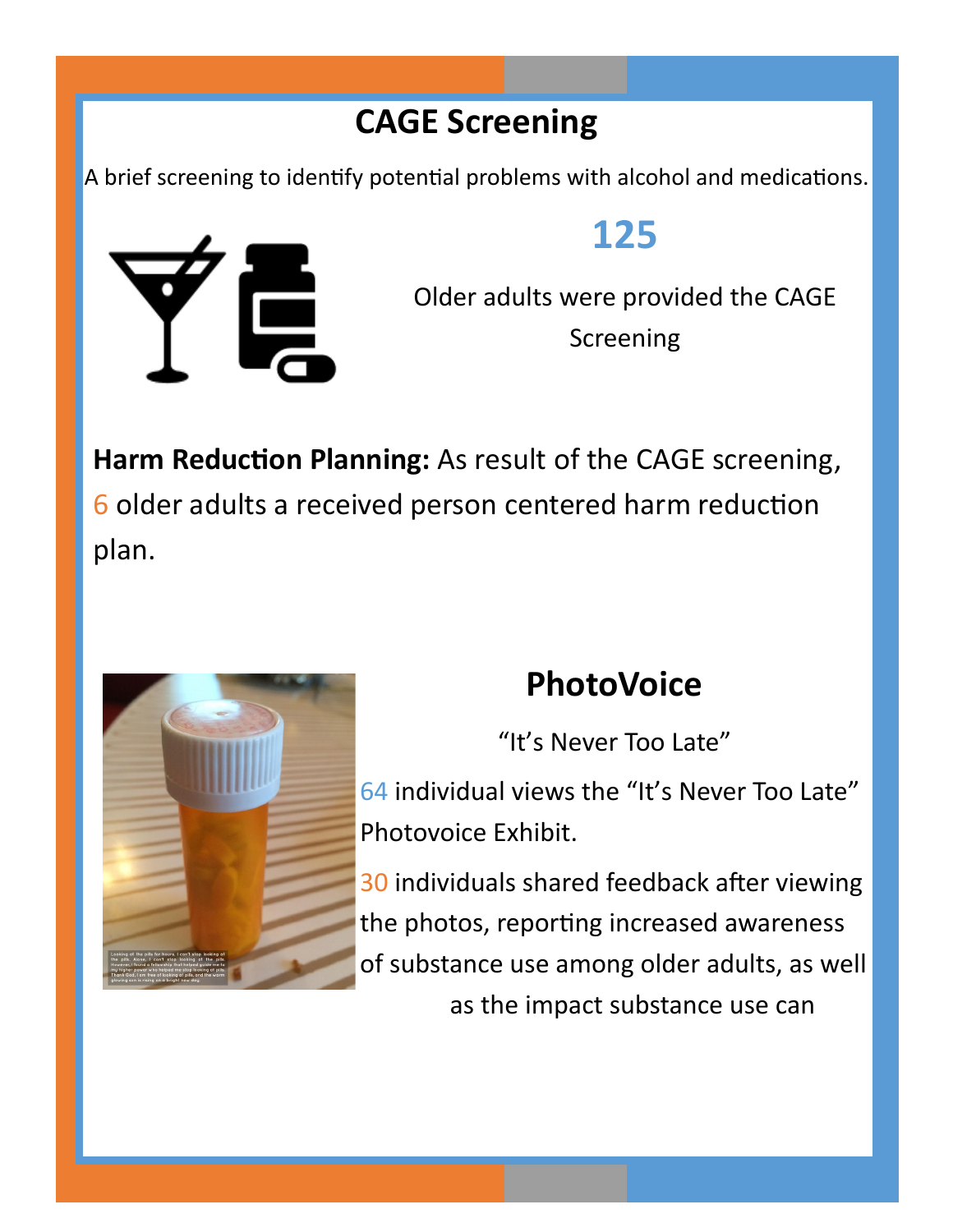### **CAGE Screening**

A brief screening to identify potential problems with alcohol and medications.



### **125**

Older adults were provided the CAGE Screening

**Harm Reduction Planning:** As result of the CAGE screening, 6 older adults a received person centered harm reduction plan.



## **PhotoVoice**

"It's Never Too Late"

64 individual views the "It's Never Too Late" Photovoice Exhibit.

30 individuals shared feedback after viewing the photos, reporting increased awareness of substance use among older adults, as well as the impact substance use can